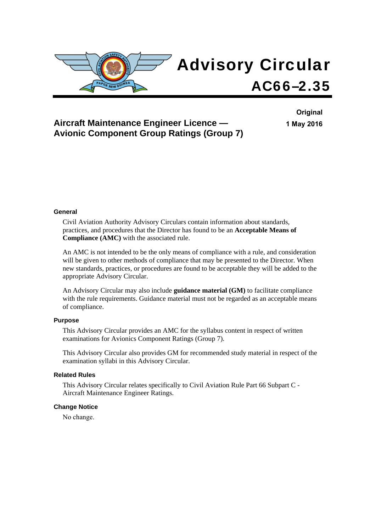

## **Aircraft Maintenance Engineer Licence — Avionic Component Group Ratings (Group 7)**

**Original 1 May 2016**

#### **General**

Civil Aviation Authority Advisory Circulars contain information about standards, practices, and procedures that the Director has found to be an **Acceptable Means of Compliance (AMC)** with the associated rule.

An AMC is not intended to be the only means of compliance with a rule, and consideration will be given to other methods of compliance that may be presented to the Director. When new standards, practices, or procedures are found to be acceptable they will be added to the appropriate Advisory Circular.

An Advisory Circular may also include **guidance material (GM)** to facilitate compliance with the rule requirements. Guidance material must not be regarded as an acceptable means of compliance.

#### **Purpose**

This Advisory Circular provides an AMC for the syllabus content in respect of written examinations for Avionics Component Ratings (Group 7).

This Advisory Circular also provides GM for recommended study material in respect of the examination syllabi in this Advisory Circular.

#### **Related Rules**

This Advisory Circular relates specifically to Civil Aviation Rule Part 66 Subpart C - Aircraft Maintenance Engineer Ratings.

#### **Change Notice**

No change.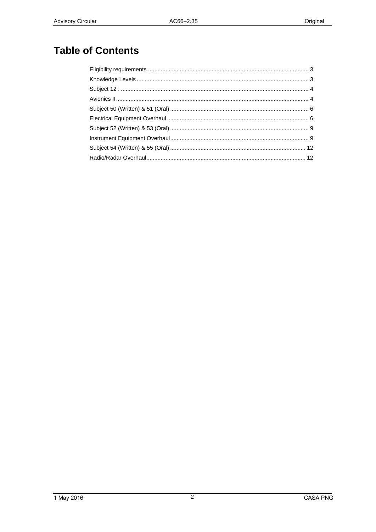# **Table of Contents**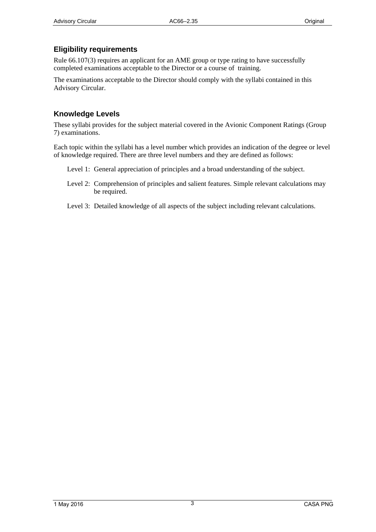### <span id="page-2-1"></span><span id="page-2-0"></span>**Eligibility requirements**

Rule 66.107(3) requires an applicant for an AME group or type rating to have successfully completed examinations acceptable to the Director or a course of training.

The examinations acceptable to the Director should comply with the syllabi contained in this Advisory Circular.

### <span id="page-2-2"></span>**Knowledge Levels**

These syllabi provides for the subject material covered in the Avionic Component Ratings (Group 7) examinations.

Each topic within the syllabi has a level number which provides an indication of the degree or level of knowledge required. There are three level numbers and they are defined as follows:

- Level 1: General appreciation of principles and a broad understanding of the subject.
- Level 2: Comprehension of principles and salient features. Simple relevant calculations may be required.
- Level 3: Detailed knowledge of all aspects of the subject including relevant calculations.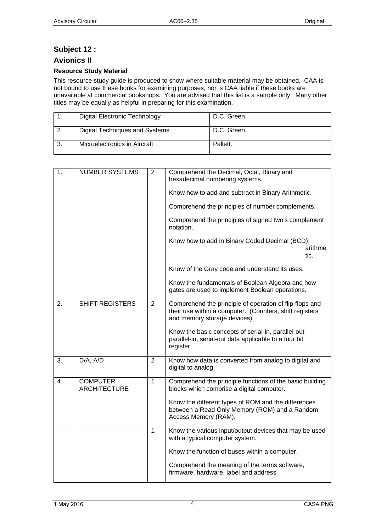### <span id="page-3-1"></span><span id="page-3-0"></span>**Subject 12 :**

### <span id="page-3-2"></span>**Avionics II**

#### **Resource Study Material**

This resource study guide is produced to show where suitable material may be obtained. CAA is not bound to use these books for examining purposes, nor is CAA liable if these books are unavailable at commercial bookshops. You are advised that this list is a sample only. Many other titles may be equally as helpful in preparing for this examination.

| Digital Electronic Technology         | D.C. Green. |
|---------------------------------------|-------------|
| <b>Digital Techniques and Systems</b> | D.C. Green. |
| Microelectronics in Aircraft          | Pallett.    |

| 1. | <b>NUMBER SYSTEMS</b>                  | $\overline{2}$ | Comprehend the Decimal, Octal, Binary and<br>hexadecimal numbering systems.                                                                        |
|----|----------------------------------------|----------------|----------------------------------------------------------------------------------------------------------------------------------------------------|
|    |                                        |                | Know how to add and subtract in Binary Arithmetic.                                                                                                 |
|    |                                        |                | Comprehend the principles of number complements.                                                                                                   |
|    |                                        |                | Comprehend the principles of signed two's complement<br>notation.                                                                                  |
|    |                                        |                | Know how to add in Binary Coded Decimal (BCD)<br>arithme<br>tic.                                                                                   |
|    |                                        |                | Know of the Gray code and understand its uses.                                                                                                     |
|    |                                        |                | Know the fundamentals of Boolean Algebra and how<br>gates are used to implement Boolean operations.                                                |
| 2. | <b>SHIFT REGISTERS</b>                 | $\overline{2}$ | Comprehend the principle of operation of flip-flops and<br>their use within a computer. (Counters, shift registers<br>and memory storage devices). |
|    |                                        |                | Know the basic concepts of serial-in, parallel-out<br>parallel-in, serial-out data applicable to a four bit<br>register.                           |
| 3. | D/A, A/D                               | $\overline{2}$ | Know how data is converted from analog to digital and<br>digital to analog.                                                                        |
| 4. | <b>COMPUTER</b><br><b>ARCHITECTURE</b> | $\mathbf{1}$   | Comprehend the principle functions of the basic building<br>blocks which comprise a digital computer.                                              |
|    |                                        |                | Know the different types of ROM and the differences<br>between a Read Only Memory (ROM) and a Random<br>Access Memory (RAM).                       |
|    |                                        | $\mathbf{1}$   | Know the various input/output devices that may be used<br>with a typical computer system.                                                          |
|    |                                        |                | Know the function of buses within a computer.                                                                                                      |
|    |                                        |                | Comprehend the meaning of the terms software,<br>firmware, hardware, label and address.                                                            |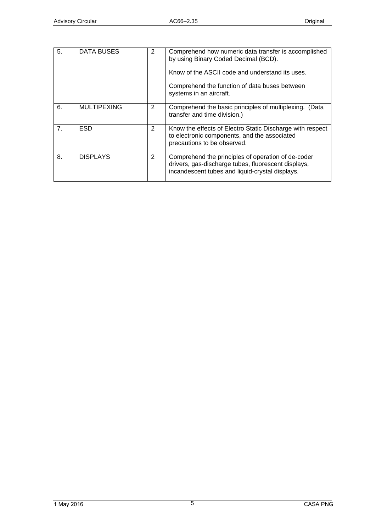| 5.             | DATA BUSES         | 2              | Comprehend how numeric data transfer is accomplished<br>by using Binary Coded Decimal (BCD).                                                                 |
|----------------|--------------------|----------------|--------------------------------------------------------------------------------------------------------------------------------------------------------------|
|                |                    |                | Know of the ASCII code and understand its uses.                                                                                                              |
|                |                    |                | Comprehend the function of data buses between<br>systems in an aircraft.                                                                                     |
| 6.             | <b>MULTIPEXING</b> | 2              | Comprehend the basic principles of multiplexing. (Data<br>transfer and time division.)                                                                       |
| 7 <sub>1</sub> | <b>ESD</b>         | $\overline{2}$ | Know the effects of Electro Static Discharge with respect<br>to electronic components, and the associated<br>precautions to be observed.                     |
| 8.             | <b>DISPLAYS</b>    | $\overline{2}$ | Comprehend the principles of operation of de-coder<br>drivers, gas-discharge tubes, fluorescent displays,<br>incandescent tubes and liquid-crystal displays. |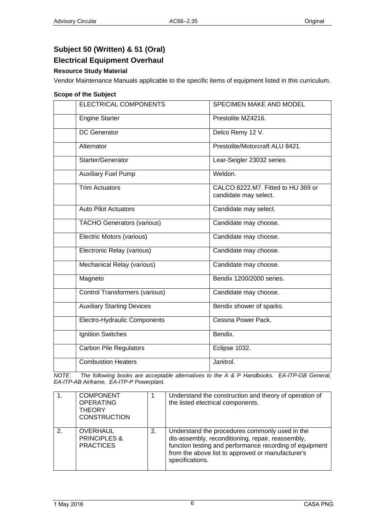# <span id="page-5-1"></span><span id="page-5-0"></span>**Subject 50 (Written) & 51 (Oral)**

### <span id="page-5-2"></span>**Electrical Equipment Overhaul**

### **Resource Study Material**

Vendor Maintenance Manuals applicable to the specific items of equipment listed in this curriculum.

#### **Scope of the Subject**

| <b>ELECTRICAL COMPONENTS</b>          | <b>SPECIMEN MAKE AND MODEL</b>                              |  |  |  |  |  |
|---------------------------------------|-------------------------------------------------------------|--|--|--|--|--|
| <b>Engine Starter</b>                 | Prestolite MZ4216.                                          |  |  |  |  |  |
| <b>DC</b> Generator                   | Delco Remy 12 V.                                            |  |  |  |  |  |
| Alternator                            | Prestolite/Motorcraft ALU 8421.                             |  |  |  |  |  |
| Starter/Generator                     | Lear-Seigler 23032 series.                                  |  |  |  |  |  |
| <b>Auxiliary Fuel Pump</b>            | Weldon.                                                     |  |  |  |  |  |
| <b>Trim Actuators</b>                 | CALCO 8222.M7. Fitted to HU 369 or<br>candidate may select. |  |  |  |  |  |
| <b>Auto Pilot Actuators</b>           | Candidate may select.                                       |  |  |  |  |  |
| <b>TACHO Generators (various)</b>     | Candidate may choose.                                       |  |  |  |  |  |
| Electric Motors (various)             | Candidate may choose.                                       |  |  |  |  |  |
| Electronic Relay (various)            | Candidate may choose.                                       |  |  |  |  |  |
| Mechanical Relay (various)            | Candidate may choose.                                       |  |  |  |  |  |
| Magneto                               | Bendix 1200/2000 series.                                    |  |  |  |  |  |
| <b>Control Transformers (various)</b> | Candidate may choose.                                       |  |  |  |  |  |
| <b>Auxiliary Starting Devices</b>     | Bendix shower of sparks.                                    |  |  |  |  |  |
| Electro-Hydraulic Components          | Cessna Power Pack.                                          |  |  |  |  |  |
| Ignition Switches                     | Bendix.                                                     |  |  |  |  |  |
| <b>Carbon Pile Regulators</b>         | Eclipse 1032.                                               |  |  |  |  |  |
| <b>Combustion Heaters</b>             | Janitrol.                                                   |  |  |  |  |  |

*NOTE: The following books are acceptable alternatives to the A & P Handbooks. EA-ITP-GB General, EA-ITP-AB Airframe, EA-ITP-P Powerplant.* 

| $\mathbf{1}$ . | <b>COMPONENT</b><br><b>OPERATING</b><br><b>THEORY</b><br><b>CONSTRUCTION</b> |    | Understand the construction and theory of operation of<br>the listed electrical components.                                                                                                                                            |
|----------------|------------------------------------------------------------------------------|----|----------------------------------------------------------------------------------------------------------------------------------------------------------------------------------------------------------------------------------------|
| 2.             | OVERHAUL<br><b>PRINCIPLES &amp;</b><br><b>PRACTICES</b>                      | 2. | Understand the procedures commonly used in the<br>dis-assembly, reconditioning, repair, reassembly,<br>function testing and performance recording of equipment<br>from the above list to approved or manufacturer's<br>specifications. |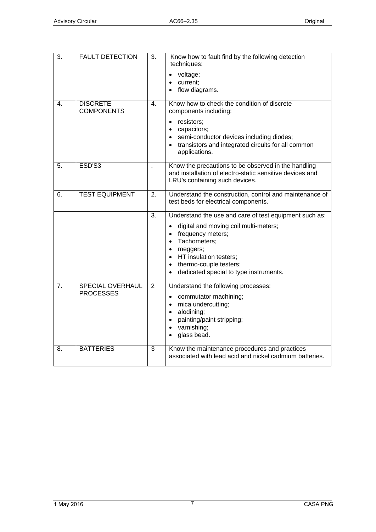| 3.               | <b>FAULT DETECTION</b>                      | 3.               | Know how to fault find by the following detection<br>techniques:<br>voltage;<br>current;<br>$\bullet$<br>flow diagrams.                                                                                                                                                                                         |
|------------------|---------------------------------------------|------------------|-----------------------------------------------------------------------------------------------------------------------------------------------------------------------------------------------------------------------------------------------------------------------------------------------------------------|
| $\overline{4}$ . | <b>DISCRETE</b><br><b>COMPONENTS</b>        | $\mathbf{4}$ .   | Know how to check the condition of discrete<br>components including:<br>resistors;<br>capacitors;<br>$\bullet$<br>semi-conductor devices including diodes;<br>$\bullet$<br>transistors and integrated circuits for all common<br>$\bullet$<br>applications.                                                     |
| 5.               | ESD'S3                                      |                  | Know the precautions to be observed in the handling<br>and installation of electro-static sensitive devices and<br>LRU's containing such devices.                                                                                                                                                               |
| 6.               | <b>TEST EQUIPMENT</b>                       | 2.               | Understand the construction, control and maintenance of<br>test beds for electrical components.                                                                                                                                                                                                                 |
|                  |                                             | $\overline{3}$ . | Understand the use and care of test equipment such as:<br>digital and moving coil multi-meters;<br>frequency meters;<br>$\bullet$<br>Tachometers;<br>$\bullet$<br>meggers;<br>$\bullet$<br>HT insulation testers;<br>$\bullet$<br>thermo-couple testers;<br>$\bullet$<br>dedicated special to type instruments. |
| 7.               | <b>SPECIAL OVERHAUL</b><br><b>PROCESSES</b> | $\overline{2}$   | Understand the following processes:<br>commutator machining;<br>$\bullet$<br>mica undercutting;<br>$\bullet$<br>alodining;<br>$\bullet$<br>painting/paint stripping;<br>$\bullet$<br>varnishing;<br>$\bullet$<br>glass bead.                                                                                    |
| 8.               | <b>BATTERIES</b>                            | 3                | Know the maintenance procedures and practices<br>associated with lead acid and nickel cadmium batteries.                                                                                                                                                                                                        |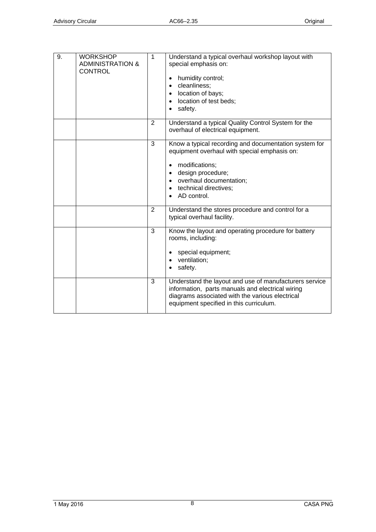| 9. | <b>WORKSHOP</b><br><b>ADMINISTRATION &amp;</b><br><b>CONTROL</b> | 1              | Understand a typical overhaul workshop layout with<br>special emphasis on:<br>humidity control;<br>cleanliness;<br>$\bullet$<br>location of bays;<br>$\bullet$<br>location of test beds;<br>$\bullet$<br>safety.                                       |
|----|------------------------------------------------------------------|----------------|--------------------------------------------------------------------------------------------------------------------------------------------------------------------------------------------------------------------------------------------------------|
|    |                                                                  | 2              | Understand a typical Quality Control System for the<br>overhaul of electrical equipment.                                                                                                                                                               |
|    |                                                                  | 3              | Know a typical recording and documentation system for<br>equipment overhaul with special emphasis on:<br>modifications;<br>design procedure;<br>$\bullet$<br>overhaul documentation;<br>$\bullet$<br>technical directives;<br>$\bullet$<br>AD control. |
|    |                                                                  | 2              | Understand the stores procedure and control for a<br>typical overhaul facility.                                                                                                                                                                        |
|    |                                                                  | $\overline{3}$ | Know the layout and operating procedure for battery<br>rooms, including:<br>special equipment;<br>ventilation;<br>safety.                                                                                                                              |
|    |                                                                  | 3              | Understand the layout and use of manufacturers service<br>information, parts manuals and electrical wiring<br>diagrams associated with the various electrical<br>equipment specified in this curriculum.                                               |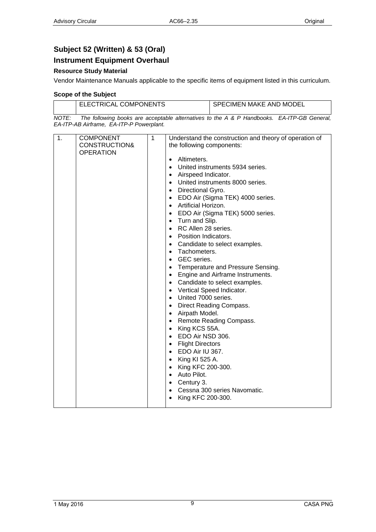### <span id="page-8-1"></span><span id="page-8-0"></span>**Subject 52 (Written) & 53 (Oral)**

### <span id="page-8-2"></span>**Instrument Equipment Overhaul**

### **Resource Study Material**

Vendor Maintenance Manuals applicable to the specific items of equipment listed in this curriculum.

#### **Scope of the Subject**

|          | <b>ELECTRICAL COMPONENTS</b> |  |  |                      | SPECIMEN MAKE AND MODEL |  |  |             |  |
|----------|------------------------------|--|--|----------------------|-------------------------|--|--|-------------|--|
| $\cdots$ |                              |  |  | $\sim$ $\sim$ $\sim$ | .                       |  |  | $-1$ $   -$ |  |

*NOTE: The following books are acceptable alternatives to the A & P Handbooks. EA-ITP-GB General, EA-ITP-AB Airframe, EA-ITP-P Powerplant.* 

| 1. | <b>COMPONENT</b> | $\mathbf{1}$ | Understand the construction and theory of operation of |
|----|------------------|--------------|--------------------------------------------------------|
|    | CONSTRUCTION&    |              | the following components:                              |
|    | <b>OPERATION</b> |              |                                                        |
|    |                  |              | Altimeters.<br>$\bullet$                               |
|    |                  |              | United instruments 5934 series.                        |
|    |                  |              | Airspeed Indicator.<br>$\bullet$                       |
|    |                  |              | United instruments 8000 series.<br>$\bullet$           |
|    |                  |              | Directional Gyro.<br>$\bullet$                         |
|    |                  |              | EDO Air (Sigma TEK) 4000 series.<br>$\bullet$          |
|    |                  |              | Artificial Horizon.<br>$\bullet$                       |
|    |                  |              | EDO Air (Sigma TEK) 5000 series.<br>$\bullet$          |
|    |                  |              | Turn and Slip.<br>$\bullet$                            |
|    |                  |              | RC Allen 28 series.<br>$\bullet$                       |
|    |                  |              | Position Indicators.<br>$\bullet$                      |
|    |                  |              | Candidate to select examples.<br>$\bullet$             |
|    |                  |              | Tachometers.<br>$\bullet$                              |
|    |                  |              | GEC series.<br>$\bullet$                               |
|    |                  |              | Temperature and Pressure Sensing.<br>$\bullet$         |
|    |                  |              | Engine and Airframe Instruments.<br>$\bullet$          |
|    |                  |              | Candidate to select examples.<br>$\bullet$             |
|    |                  |              | Vertical Speed Indicator.<br>$\bullet$                 |
|    |                  |              | United 7000 series.<br>$\bullet$                       |
|    |                  |              | Direct Reading Compass.<br>$\bullet$                   |
|    |                  |              | Airpath Model.<br>$\bullet$                            |
|    |                  |              | Remote Reading Compass.<br>$\bullet$                   |
|    |                  |              | King KCS 55A.<br>$\bullet$                             |
|    |                  |              | EDO Air NSD 306.<br>$\bullet$                          |
|    |                  |              | <b>Flight Directors</b><br>$\bullet$                   |
|    |                  |              | EDO Air IU 367.<br>$\bullet$                           |
|    |                  |              | King KI 525 A.<br>$\bullet$                            |
|    |                  |              | King KFC 200-300.<br>$\bullet$                         |
|    |                  |              | Auto Pilot.<br>$\bullet$                               |
|    |                  |              | Century 3.<br>$\bullet$                                |
|    |                  |              | Cessna 300 series Navomatic.<br>$\bullet$              |
|    |                  |              | King KFC 200-300.<br>$\bullet$                         |
|    |                  |              |                                                        |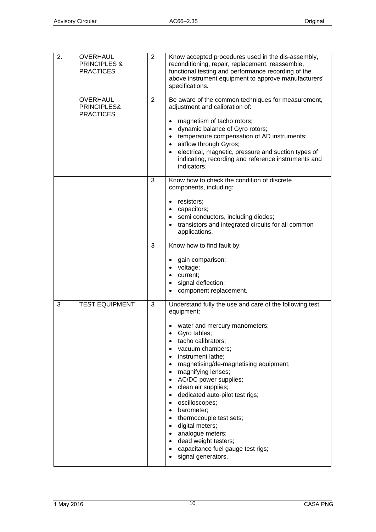| 2. | OVERHAUL<br><b>PRINCIPLES &amp;</b><br><b>PRACTICES</b> | $\overline{2}$ | Know accepted procedures used in the dis-assembly,<br>reconditioning, repair, replacement, reassemble,<br>functional testing and performance recording of the<br>above instrument equipment to approve manufacturers'<br>specifications.                                                                                                                                                                                                                                                                                                                                                                                                                                    |
|----|---------------------------------------------------------|----------------|-----------------------------------------------------------------------------------------------------------------------------------------------------------------------------------------------------------------------------------------------------------------------------------------------------------------------------------------------------------------------------------------------------------------------------------------------------------------------------------------------------------------------------------------------------------------------------------------------------------------------------------------------------------------------------|
|    | <b>OVERHAUL</b><br>PRINCIPLES&<br><b>PRACTICES</b>      | $\overline{2}$ | Be aware of the common techniques for measurement,<br>adjustment and calibration of:<br>magnetism of tacho rotors;<br>dynamic balance of Gyro rotors;<br>$\bullet$<br>temperature compensation of AD instruments;<br>$\bullet$<br>airflow through Gyros;<br>$\bullet$<br>electrical, magnetic, pressure and suction types of<br>$\bullet$<br>indicating, recording and reference instruments and<br>indicators.                                                                                                                                                                                                                                                             |
|    |                                                         | 3              | Know how to check the condition of discrete<br>components, including:<br>resistors;<br>$\bullet$<br>capacitors;<br>$\bullet$<br>semi conductors, including diodes;<br>$\bullet$<br>transistors and integrated circuits for all common<br>$\bullet$<br>applications.                                                                                                                                                                                                                                                                                                                                                                                                         |
|    |                                                         | 3              | Know how to find fault by:<br>gain comparison;<br>• voltage;<br>• current;<br>• signal deflection;<br>component replacement.                                                                                                                                                                                                                                                                                                                                                                                                                                                                                                                                                |
| 3  | <b>TEST EQUIPMENT</b>                                   | 3              | Understand fully the use and care of the following test<br>equipment:<br>water and mercury manometers;<br>Gyro tables;<br>tacho calibrators;<br>vacuum chambers;<br>instrument lathe;<br>magnetising/de-magnetising equipment;<br>$\bullet$<br>magnifying lenses;<br>$\bullet$<br>AC/DC power supplies;<br>$\bullet$<br>clean air supplies;<br>$\bullet$<br>dedicated auto-pilot test rigs;<br>$\bullet$<br>oscilloscopes;<br>$\bullet$<br>barometer;<br>$\bullet$<br>thermocouple test sets;<br>$\bullet$<br>digital meters;<br>$\bullet$<br>analogue meters;<br>$\bullet$<br>dead weight testers;<br>$\bullet$<br>capacitance fuel gauge test rigs;<br>signal generators. |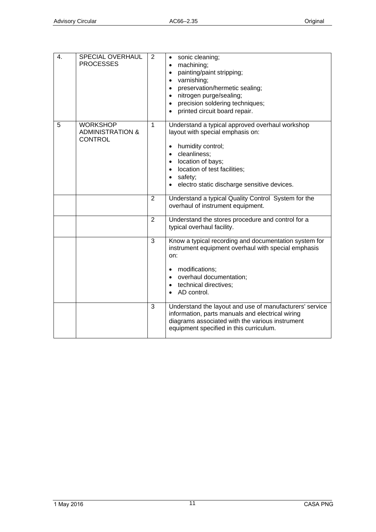| 4. | SPECIAL OVERHAUL<br><b>PROCESSES</b>                             | 2              | sonic cleaning;<br>$\bullet$<br>machining;<br>$\bullet$<br>painting/paint stripping;<br>$\bullet$<br>varnishing;<br>$\bullet$<br>preservation/hermetic sealing;<br>$\bullet$<br>nitrogen purge/sealing;<br>$\bullet$<br>precision soldering techniques;<br>$\bullet$<br>printed circuit board repair.      |
|----|------------------------------------------------------------------|----------------|------------------------------------------------------------------------------------------------------------------------------------------------------------------------------------------------------------------------------------------------------------------------------------------------------------|
| 5  | <b>WORKSHOP</b><br><b>ADMINISTRATION &amp;</b><br><b>CONTROL</b> | $\mathbf{1}$   | Understand a typical approved overhaul workshop<br>layout with special emphasis on:<br>humidity control;<br>$\bullet$<br>cleanliness;<br>$\bullet$<br>location of bays;<br>$\bullet$<br>location of test facilities;<br>$\bullet$<br>safety;<br>$\bullet$<br>electro static discharge sensitive devices.   |
|    |                                                                  | $\overline{2}$ | Understand a typical Quality Control System for the<br>overhaul of instrument equipment.                                                                                                                                                                                                                   |
|    |                                                                  | $\overline{2}$ | Understand the stores procedure and control for a<br>typical overhaul facility.                                                                                                                                                                                                                            |
|    |                                                                  | 3<br>3         | Know a typical recording and documentation system for<br>instrument equipment overhaul with special emphasis<br>on:<br>modifications;<br>$\bullet$<br>overhaul documentation;<br>$\bullet$<br>technical directives;<br>$\bullet$<br>AD control.<br>Understand the layout and use of manufacturers' service |
|    |                                                                  |                | information, parts manuals and electrical wiring<br>diagrams associated with the various instrument<br>equipment specified in this curriculum.                                                                                                                                                             |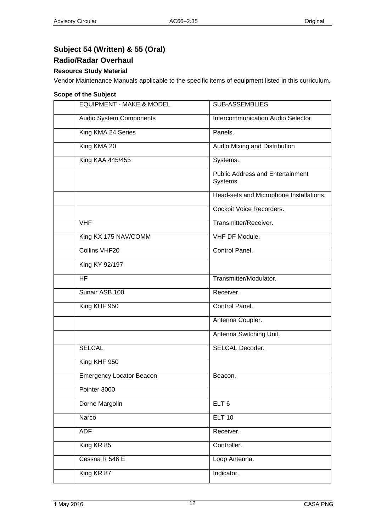# <span id="page-11-1"></span><span id="page-11-0"></span>**Subject 54 (Written) & 55 (Oral)**

### <span id="page-11-2"></span>**Radio/Radar Overhaul**

### **Resource Study Material**

Vendor Maintenance Manuals applicable to the specific items of equipment listed in this curriculum.

#### **Scope of the Subject**

| <b>EQUIPMENT - MAKE &amp; MODEL</b> | <b>SUB-ASSEMBLIES</b>                               |
|-------------------------------------|-----------------------------------------------------|
| Audio System Components             | <b>Intercommunication Audio Selector</b>            |
| King KMA 24 Series                  | Panels.                                             |
| King KMA 20                         | Audio Mixing and Distribution                       |
| King KAA 445/455                    | Systems.                                            |
|                                     | <b>Public Address and Entertainment</b><br>Systems. |
|                                     | Head-sets and Microphone Installations.             |
|                                     | Cockpit Voice Recorders.                            |
| <b>VHF</b>                          | Transmitter/Receiver.                               |
| King KX 175 NAV/COMM                | VHF DF Module.                                      |
| Collins VHF20                       | Control Panel.                                      |
| King KY 92/197                      |                                                     |
| <b>HF</b>                           | Transmitter/Modulator.                              |
| Sunair ASB 100                      | Receiver.                                           |
| King KHF 950                        | Control Panel.                                      |
|                                     | Antenna Coupler.                                    |
|                                     | Antenna Switching Unit.                             |
| <b>SELCAL</b>                       | <b>SELCAL Decoder.</b>                              |
| King KHF 950                        |                                                     |
| <b>Emergency Locator Beacon</b>     | Beacon.                                             |
| Pointer 3000                        |                                                     |
| Dorne Margolin                      | ELT <sub>6</sub>                                    |
| Narco                               | <b>ELT 10</b>                                       |
| <b>ADF</b>                          | Receiver.                                           |
| King KR 85                          | Controller.                                         |
| Cessna R 546 E                      | Loop Antenna.                                       |
| King KR 87                          | Indicator.                                          |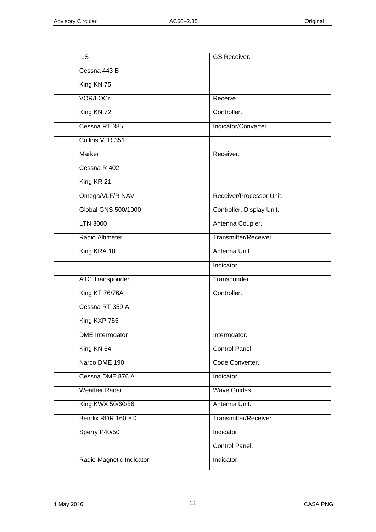| <b>ILS</b>               | GS Receiver.              |
|--------------------------|---------------------------|
| Cessna 443 B             |                           |
| King KN 75               |                           |
| VOR/LOCr                 | Receive.                  |
| King KN 72               | Controller.               |
| Cessna RT 385            | Indicator/Converter.      |
| Collins VTR 351          |                           |
| Marker                   | Receiver.                 |
| Cessna R 402             |                           |
| King KR 21               |                           |
| Omega/VLF/R NAV          | Receiver/Processor Unit.  |
| Global GNS 500/1000      | Controller, Display Unit. |
| <b>LTN 3000</b>          | Antenna Coupler.          |
| Radio Altimeter          | Transmitter/Receiver.     |
| King KRA 10              | Antenna Unit.             |
|                          | Indicator.                |
| <b>ATC Transponder</b>   | Transponder.              |
| King KT 76/76A           | Controller.               |
| Cessna RT 359 A          |                           |
| King KXP 755             |                           |
| <b>DME</b> Interrogator  | Interrogator.             |
| King KN 64               | Control Panel.            |
| Narco DME 190            | Code Converter.           |
| Cessna DME 876 A         | Indicator.                |
| <b>Weather Radar</b>     | Wave Guides.              |
| King KWX 50/60/56        | Antenna Unit.             |
| Bendix RDR 160 XD        | Transmitter/Receiver.     |
| Sperry P40/50            | Indicator.                |
|                          | Control Panel.            |
| Radio Magnetic Indicator | Indicator.                |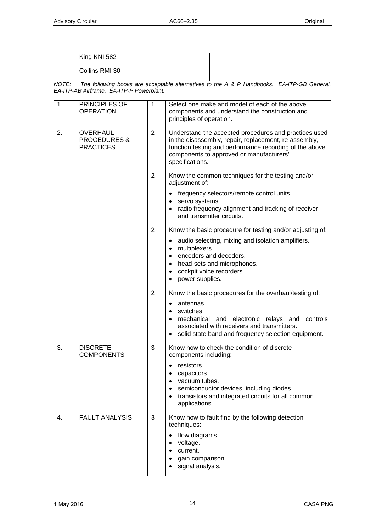| King KNI 582   |  |
|----------------|--|
| Collins RMI 30 |  |

*NOTE: The following books are acceptable alternatives to the A & P Handbooks. EA-ITP-GB General, EA-ITP-AB Airframe, EA-ITP-P Powerplant.* 

| 1. | PRINCIPLES OF<br><b>OPERATION</b>                              | 1              | Select one make and model of each of the above<br>components and understand the construction and<br>principles of operation.                                                                                                             |
|----|----------------------------------------------------------------|----------------|------------------------------------------------------------------------------------------------------------------------------------------------------------------------------------------------------------------------------------------|
| 2. | <b>OVERHAUL</b><br><b>PROCEDURES &amp;</b><br><b>PRACTICES</b> | 2              | Understand the accepted procedures and practices used<br>in the disassembly, repair, replacement, re-assembly,<br>function testing and performance recording of the above<br>components to approved or manufacturers'<br>specifications. |
|    |                                                                | $\overline{2}$ | Know the common techniques for the testing and/or<br>adjustment of:                                                                                                                                                                      |
|    |                                                                |                | frequency selectors/remote control units.<br>servo systems.<br>$\bullet$<br>• radio frequency alignment and tracking of receiver<br>and transmitter circuits.                                                                            |
|    |                                                                | $\overline{2}$ | Know the basic procedure for testing and/or adjusting of:                                                                                                                                                                                |
|    |                                                                |                | audio selecting, mixing and isolation amplifiers.<br>$\bullet$<br>multiplexers.<br>$\bullet$<br>encoders and decoders.<br>head-sets and microphones.<br>cockpit voice recorders.<br>power supplies.                                      |
|    |                                                                | 2              | Know the basic procedures for the overhaul/testing of:                                                                                                                                                                                   |
|    |                                                                |                | antennas.<br>switches.<br>$\bullet$<br>mechanical and electronic relays and<br>controls<br>$\bullet$<br>associated with receivers and transmitters.<br>solid state band and frequency selection equipment.                               |
| 3. | <b>DISCRETE</b><br><b>COMPONENTS</b>                           | 3              | Know how to check the condition of discrete<br>components including:                                                                                                                                                                     |
|    |                                                                |                | resistors.<br>capacitors.<br>vacuum tubes.<br>semiconductor devices, including diodes.<br>transistors and integrated circuits for all common<br>applications.                                                                            |
| 4. | <b>FAULT ANALYSIS</b>                                          | 3              | Know how to fault find by the following detection<br>techniques:                                                                                                                                                                         |
|    |                                                                |                | flow diagrams.<br>voltage.<br>$\bullet$<br>current.<br>$\bullet$<br>gain comparison.<br>$\bullet$<br>signal analysis.                                                                                                                    |